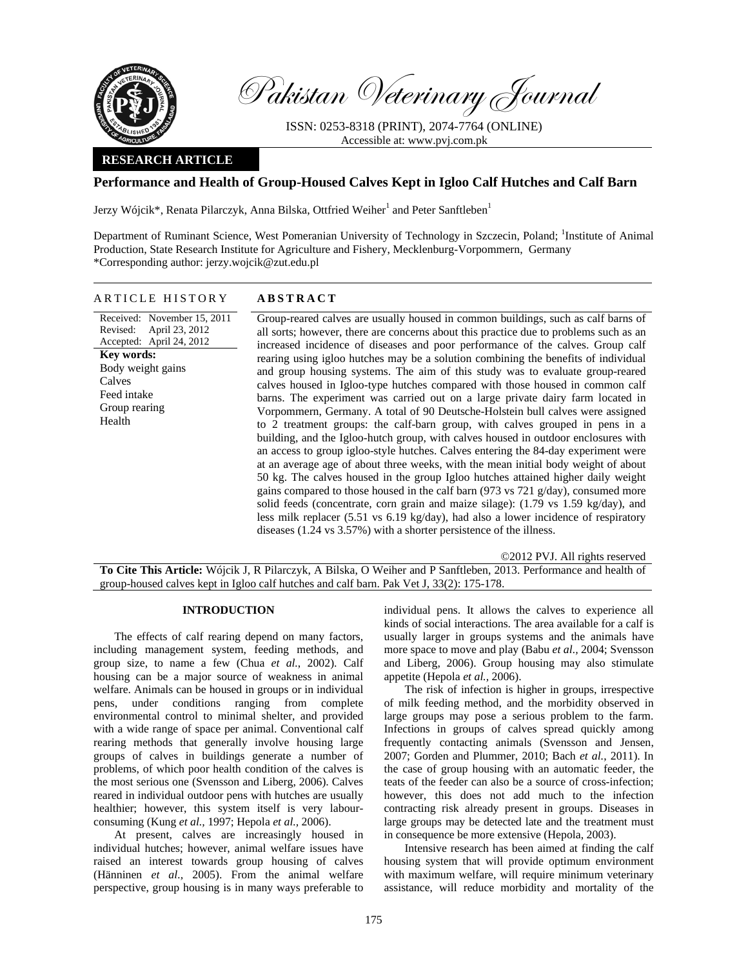

Pakistan Veterinary Journal

ISSN: 0253-8318 (PRINT), 2074-7764 (ONLINE) Accessible at: www.pvj.com.pk

### **RESEARCH ARTICLE**

# **Performance and Health of Group-Housed Calves Kept in Igloo Calf Hutches and Calf Barn**

Jerzy Wójcik\*, Renata Pilarczyk, Anna Bilska, Ottfried Weiher $^1$  and Peter Sanftleben $^1$ 

Department of Ruminant Science, West Pomeranian University of Technology in Szczecin, Poland; <sup>1</sup>Institute of Animal Production, State Research Institute for Agriculture and Fishery, Mecklenburg-Vorpommern, Germany \*Corresponding author: jerzy.wojcik@zut.edu.pl

## ARTICLE HISTORY **ABSTRACT**

Received: November 15, 2011 Revised: April 23, 2012 Accepted: April 24, 2012 Group-reared calves are usually housed in common buildings, such as calf barns of all sorts; however, there are concerns about this practice due to problems such as an increased incidence of diseases and poor performance of the calves. Group calf rearing using igloo hutches may be a solution combining the benefits of individual and group housing systems. The aim of this study was to evaluate group-reared calves housed in Igloo-type hutches compared with those housed in common calf barns. The experiment was carried out on a large private dairy farm located in Vorpommern, Germany. A total of 90 Deutsche-Holstein bull calves were assigned to 2 treatment groups: the calf-barn group, with calves grouped in pens in a building, and the Igloo-hutch group, with calves housed in outdoor enclosures with an access to group igloo-style hutches. Calves entering the 84-day experiment were at an average age of about three weeks, with the mean initial body weight of about 50 kg. The calves housed in the group Igloo hutches attained higher daily weight gains compared to those housed in the calf barn (973 vs 721 g/day), consumed more solid feeds (concentrate, corn grain and maize silage): (1.79 vs 1.59 kg/day), and less milk replacer (5.51 vs 6.19 kg/day), had also a lower incidence of respiratory diseases (1.24 vs 3.57%) with a shorter persistence of the illness. **Key words:**  Body weight gains Calves Feed intake Group rearing Health

©2012 PVJ. All rights reserved **To Cite This Article:** Wójcik J, R Pilarczyk, A Bilska, O Weiher and P Sanftleben, 2013. Performance and health of group-housed calves kept in Igloo calf hutches and calf barn. Pak Vet J, 33(2): 175-178.

#### **INTRODUCTION**

The effects of calf rearing depend on many factors, including management system, feeding methods, and group size, to name a few (Chua *et al.*, 2002). Calf housing can be a major source of weakness in animal welfare. Animals can be housed in groups or in individual pens, under conditions ranging from complete environmental control to minimal shelter, and provided with a wide range of space per animal. Conventional calf rearing methods that generally involve housing large groups of calves in buildings generate a number of problems, of which poor health condition of the calves is the most serious one (Svensson and Liberg, 2006). Calves reared in individual outdoor pens with hutches are usually healthier; however, this system itself is very labourconsuming (Kung *et al.,* 1997; Hepola *et al.,* 2006).

At present, calves are increasingly housed in individual hutches; however, animal welfare issues have raised an interest towards group housing of calves (Hänninen *et al.,* 2005). From the animal welfare perspective, group housing is in many ways preferable to individual pens. It allows the calves to experience all kinds of social interactions. The area available for a calf is usually larger in groups systems and the animals have more space to move and play (Babu *et al.,* 2004; Svensson and Liberg, 2006). Group housing may also stimulate appetite (Hepola *et al.,* 2006).

The risk of infection is higher in groups, irrespective of milk feeding method, and the morbidity observed in large groups may pose a serious problem to the farm. Infections in groups of calves spread quickly among frequently contacting animals (Svensson and Jensen, 2007; Gorden and Plummer, 2010; Bach *et al.*, 2011). In the case of group housing with an automatic feeder, the teats of the feeder can also be a source of cross-infection; however, this does not add much to the infection contracting risk already present in groups. Diseases in large groups may be detected late and the treatment must in consequence be more extensive (Hepola, 2003).

Intensive research has been aimed at finding the calf housing system that will provide optimum environment with maximum welfare, will require minimum veterinary assistance, will reduce morbidity and mortality of the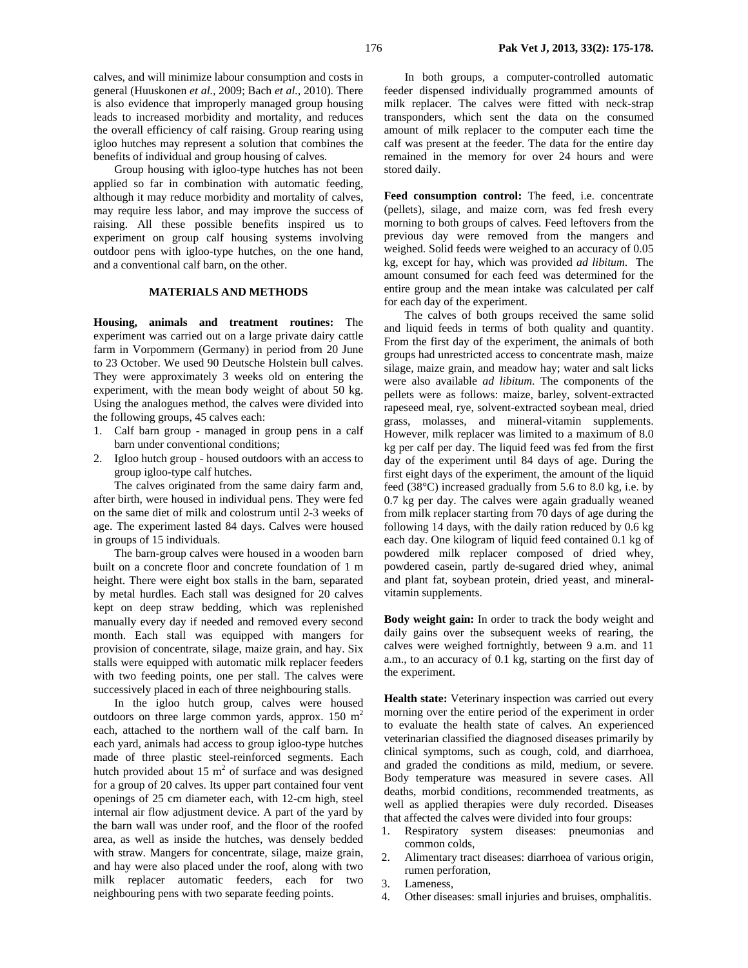calves, and will minimize labour consumption and costs in general (Huuskonen *et al.,* 2009; Bach *et al.*, 2010). There is also evidence that improperly managed group housing leads to increased morbidity and mortality, and reduces the overall efficiency of calf raising. Group rearing using igloo hutches may represent a solution that combines the benefits of individual and group housing of calves.

Group housing with igloo-type hutches has not been applied so far in combination with automatic feeding, although it may reduce morbidity and mortality of calves, may require less labor, and may improve the success of raising. All these possible benefits inspired us to experiment on group calf housing systems involving outdoor pens with igloo-type hutches, on the one hand, and a conventional calf barn, on the other.

#### **MATERIALS AND METHODS**

**Housing, animals and treatment routines:** The experiment was carried out on a large private dairy cattle farm in Vorpommern (Germany) in period from 20 June to 23 October. We used 90 Deutsche Holstein bull calves. They were approximately 3 weeks old on entering the experiment, with the mean body weight of about 50 kg. Using the analogues method, the calves were divided into the following groups, 45 calves each:

- 1. Calf barn group managed in group pens in a calf barn under conventional conditions;
- 2. Igloo hutch group housed outdoors with an access to group igloo-type calf hutches.

The calves originated from the same dairy farm and, after birth, were housed in individual pens. They were fed on the same diet of milk and colostrum until 2-3 weeks of age. The experiment lasted 84 days. Calves were housed in groups of 15 individuals.

The barn-group calves were housed in a wooden barn built on a concrete floor and concrete foundation of 1 m height. There were eight box stalls in the barn, separated by metal hurdles. Each stall was designed for 20 calves kept on deep straw bedding, which was replenished manually every day if needed and removed every second month. Each stall was equipped with mangers for provision of concentrate, silage, maize grain, and hay. Six stalls were equipped with automatic milk replacer feeders with two feeding points, one per stall. The calves were successively placed in each of three neighbouring stalls.

In the igloo hutch group, calves were housed outdoors on three large common yards, approx.  $150 \text{ m}^2$ each, attached to the northern wall of the calf barn. In each yard, animals had access to group igloo-type hutches made of three plastic steel-reinforced segments. Each hutch provided about 15  $m<sup>2</sup>$  of surface and was designed for a group of 20 calves. Its upper part contained four vent openings of 25 cm diameter each, with 12-cm high, steel internal air flow adjustment device. A part of the yard by the barn wall was under roof, and the floor of the roofed area, as well as inside the hutches, was densely bedded with straw. Mangers for concentrate, silage, maize grain, and hay were also placed under the roof, along with two milk replacer automatic feeders, each for two neighbouring pens with two separate feeding points.

In both groups, a computer-controlled automatic feeder dispensed individually programmed amounts of milk replacer. The calves were fitted with neck-strap transponders, which sent the data on the consumed amount of milk replacer to the computer each time the calf was present at the feeder. The data for the entire day remained in the memory for over 24 hours and were stored daily.

**Feed consumption control:** The feed, i.e. concentrate (pellets), silage, and maize corn, was fed fresh every morning to both groups of calves. Feed leftovers from the previous day were removed from the mangers and weighed. Solid feeds were weighed to an accuracy of 0.05 kg, except for hay, which was provided *ad libitum*. The amount consumed for each feed was determined for the entire group and the mean intake was calculated per calf for each day of the experiment.

The calves of both groups received the same solid and liquid feeds in terms of both quality and quantity. From the first day of the experiment, the animals of both groups had unrestricted access to concentrate mash, maize silage, maize grain, and meadow hay; water and salt licks were also available *ad libitum*. The components of the pellets were as follows: maize, barley, solvent-extracted rapeseed meal, rye, solvent-extracted soybean meal, dried grass, molasses, and mineral-vitamin supplements. However, milk replacer was limited to a maximum of 8.0 kg per calf per day. The liquid feed was fed from the first day of the experiment until 84 days of age. During the first eight days of the experiment, the amount of the liquid feed (38°C) increased gradually from 5.6 to 8.0 kg, i.e. by 0.7 kg per day. The calves were again gradually weaned from milk replacer starting from 70 days of age during the following 14 days, with the daily ration reduced by 0.6 kg each day. One kilogram of liquid feed contained 0.1 kg of powdered milk replacer composed of dried whey, powdered casein, partly de-sugared dried whey, animal and plant fat, soybean protein, dried yeast, and mineralvitamin supplements.

**Body weight gain:** In order to track the body weight and daily gains over the subsequent weeks of rearing, the calves were weighed fortnightly, between 9 a.m. and 11 a.m., to an accuracy of 0.1 kg, starting on the first day of the experiment.

**Health state:** Veterinary inspection was carried out every morning over the entire period of the experiment in order to evaluate the health state of calves. An experienced veterinarian classified the diagnosed diseases primarily by clinical symptoms, such as cough, cold, and diarrhoea, and graded the conditions as mild, medium, or severe. Body temperature was measured in severe cases. All deaths, morbid conditions, recommended treatments, as well as applied therapies were duly recorded. Diseases that affected the calves were divided into four groups:

- 1. Respiratory system diseases: pneumonias and common colds,
- 2. Alimentary tract diseases: diarrhoea of various origin, rumen perforation,
- 3. Lameness,
- 4. Other diseases: small injuries and bruises, omphalitis.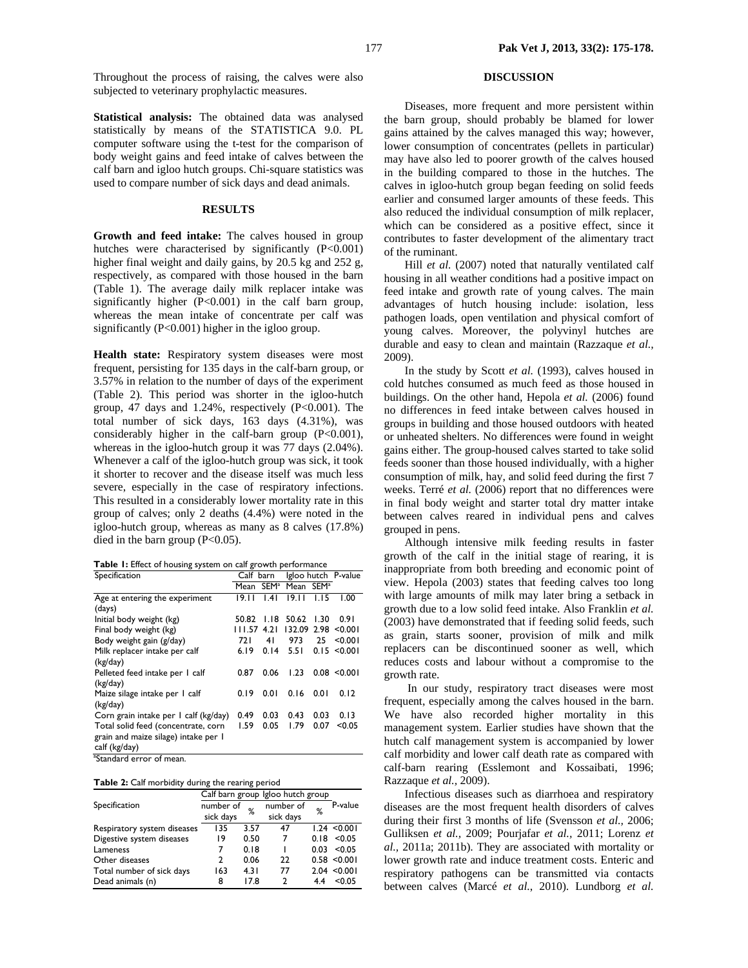Throughout the process of raising, the calves were also subjected to veterinary prophylactic measures.

**Statistical analysis:** The obtained data was analysed statistically by means of the STATISTICA 9.0. PL computer software using the t-test for the comparison of body weight gains and feed intake of calves between the calf barn and igloo hutch groups. Chi-square statistics was used to compare number of sick days and dead animals.

#### **RESULTS**

**Growth and feed intake:** The calves housed in group hutches were characterised by significantly  $(P<0.001)$ higher final weight and daily gains, by 20.5 kg and 252 g, respectively, as compared with those housed in the barn (Table 1). The average daily milk replacer intake was significantly higher (P<0.001) in the calf barn group, whereas the mean intake of concentrate per calf was significantly (P<0.001) higher in the igloo group.

**Health state:** Respiratory system diseases were most frequent, persisting for 135 days in the calf-barn group, or 3.57% in relation to the number of days of the experiment (Table 2). This period was shorter in the igloo-hutch group, 47 days and 1.24%, respectively (P<0.001). The total number of sick days, 163 days (4.31%), was considerably higher in the calf-barn group (P<0.001), whereas in the igloo-hutch group it was 77 days (2.04%). Whenever a calf of the igloo-hutch group was sick, it took it shorter to recover and the disease itself was much less severe, especially in the case of respiratory infections. This resulted in a considerably lower mortality rate in this group of calves; only 2 deaths (4.4%) were noted in the igloo-hutch group, whereas as many as 8 calves (17.8%) died in the barn group  $(P<0.05)$ .

| Table I: Effect of housing system on calf growth performance |  |
|--------------------------------------------------------------|--|
|--------------------------------------------------------------|--|

| Specification                         | Calf barn |                  | Igloo hutch P-value   |      |              |
|---------------------------------------|-----------|------------------|-----------------------|------|--------------|
|                                       | Mean      | SEM <sup>a</sup> | Mean SEM <sup>a</sup> |      |              |
| Age at entering the experiment        | 19.11     | .4               | 19.11                 | 1.15 | 1.00         |
| (days)                                |           |                  |                       |      |              |
| Initial body weight (kg)              | 50.82     | 1.18             | 50.62                 | 1.30 | 0.91         |
| Final body weight (kg)                | 111.57    | 4.21             | 132.09                | 2.98 | < 0.001      |
| Body weight gain (g/day)              | 721       | 41               | 973                   | 25   | < 0.001      |
| Milk replacer intake per calf         | 6.19      | 0.14             | 5.51                  |      | 0.15 < 0.001 |
| (kg/day)                              |           |                  |                       |      |              |
| Pelleted feed intake per I calf       | 0.87      | 0.06             | 1.23                  |      | 0.08 < 0.001 |
| (kg/day)                              |           |                  |                       |      |              |
| Maize silage intake per I calf        | 0.19      | 0.01             | 0.16                  | 0.01 | 0.12         |
| (kg/day)                              |           |                  |                       |      |              |
| Corn grain intake per 1 calf (kg/day) | 0.49      | 0.03             | 0.43                  | 0.03 | 0.13         |
| Total solid feed (concentrate, corn   | 1.59      | 0.05             | 1.79                  | 0.07 | < 0.05       |
| grain and maize silage) intake per I  |           |                  |                       |      |              |
| calf (kg/day)                         |           |                  |                       |      |              |

<sup>a</sup>Standard error of mean.

**Table 2:** Calf morbidity during the rearing period

|                             | Calf barn group Igloo hutch group |      |           |      |         |
|-----------------------------|-----------------------------------|------|-----------|------|---------|
| Specification               | number of                         | %    | number of | %    | P-value |
|                             | sick days                         |      | sick days |      |         |
| Respiratory system diseases | 135                               | 3.57 | 47        | 1.24 | < 0.001 |
| Digestive system diseases   | 19                                | 0.50 |           | 0.18 | < 0.05  |
| Lameness                    | 7                                 | 0.18 |           | 0.03 | < 0.05  |
| Other diseases              | ς.                                | 0.06 | 22        | 0.58 | < 0.001 |
| Total number of sick days   | 163                               | 4.31 | 77        | 2.04 | < 0.001 |
| Dead animals (n)            | 8                                 | 17.8 | າ         | 44   | < 0.05  |

### **DISCUSSION**

Diseases, more frequent and more persistent within the barn group, should probably be blamed for lower gains attained by the calves managed this way; however, lower consumption of concentrates (pellets in particular) may have also led to poorer growth of the calves housed in the building compared to those in the hutches. The calves in igloo-hutch group began feeding on solid feeds earlier and consumed larger amounts of these feeds. This also reduced the individual consumption of milk replacer, which can be considered as a positive effect, since it contributes to faster development of the alimentary tract of the ruminant.

Hill *et al.* (2007) noted that naturally ventilated calf housing in all weather conditions had a positive impact on feed intake and growth rate of young calves. The main advantages of hutch housing include: isolation, less pathogen loads, open ventilation and physical comfort of young calves. Moreover, the polyvinyl hutches are durable and easy to clean and maintain (Razzaque *et al.,* 2009).

In the study by Scott *et al.* (1993), calves housed in cold hutches consumed as much feed as those housed in buildings. On the other hand, Hepola *et al.* (2006) found no differences in feed intake between calves housed in groups in building and those housed outdoors with heated or unheated shelters. No differences were found in weight gains either. The group-housed calves started to take solid feeds sooner than those housed individually, with a higher consumption of milk, hay, and solid feed during the first 7 weeks. Terré *et al.* (2006) report that no differences were in final body weight and starter total dry matter intake between calves reared in individual pens and calves grouped in pens.

Although intensive milk feeding results in faster growth of the calf in the initial stage of rearing, it is inappropriate from both breeding and economic point of view. Hepola (2003) states that feeding calves too long with large amounts of milk may later bring a setback in growth due to a low solid feed intake. Also Franklin *et al.* (2003) have demonstrated that if feeding solid feeds, such as grain, starts sooner, provision of milk and milk replacers can be discontinued sooner as well, which reduces costs and labour without a compromise to the growth rate.

 In our study, respiratory tract diseases were most frequent, especially among the calves housed in the barn. We have also recorded higher mortality in this management system. Earlier studies have shown that the hutch calf management system is accompanied by lower calf morbidity and lower calf death rate as compared with calf-barn rearing (Esslemont and Kossaibati, 1996; Razzaque *et al.,* 2009).

Infectious diseases such as diarrhoea and respiratory diseases are the most frequent health disorders of calves during their first 3 months of life (Svensson *et al.,* 2006; Gulliksen *et al.,* 2009; Pourjafar *et al.,* 2011; Lorenz *et al.,* 2011a; 2011b). They are associated with mortality or lower growth rate and induce treatment costs. Enteric and respiratory pathogens can be transmitted via contacts between calves (Marcé *et al.*, 2010). Lundborg *et al.*